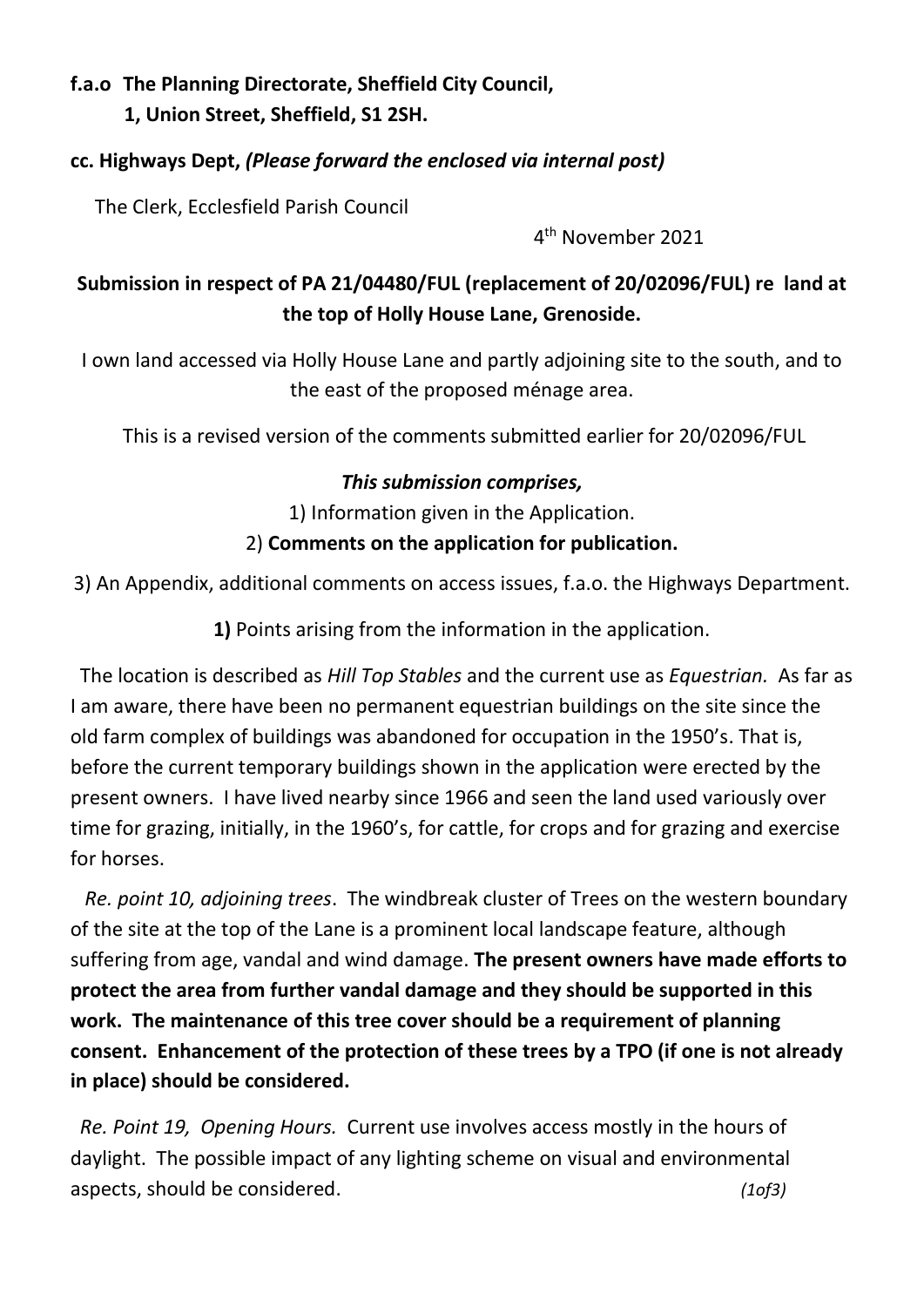### **f.a.o The Planning Directorate, Sheffield City Council,**

 **1, Union Street, Sheffield, S1 2SH.**

#### **cc. Highways Dept,** *(Please forward the enclosed via internal post)*

The Clerk, Ecclesfield Parish Council

 4 4<sup>th</sup> November 2021

# **Submission in respect of PA 21/04480/FUL (replacement of 20/02096/FUL) re land at the top of Holly House Lane, Grenoside.**

I own land accessed via Holly House Lane and partly adjoining site to the south, and to the east of the proposed ménage area.

This is a revised version of the comments submitted earlier for 20/02096/FUL

#### *This submission comprises,*

#### 1) Information given in the Application.

### 2) **Comments on the application for publication.**

3) An Appendix, additional comments on access issues, f.a.o. the Highways Department.

**1)** Points arising from the information in the application.

 The location is described as *Hill Top Stables* and the current use as *Equestrian.* As far as I am aware, there have been no permanent equestrian buildings on the site since the old farm complex of buildings was abandoned for occupation in the 1950's. That is, before the current temporary buildings shown in the application were erected by the present owners. I have lived nearby since 1966 and seen the land used variously over time for grazing, initially, in the 1960's, for cattle, for crops and for grazing and exercise for horses.

 *Re. point 10, adjoining trees*. The windbreak cluster of Trees on the western boundary of the site at the top of the Lane is a prominent local landscape feature, although suffering from age, vandal and wind damage. **The present owners have made efforts to protect the area from further vandal damage and they should be supported in this work. The maintenance of this tree cover should be a requirement of planning consent. Enhancement of the protection of these trees by a TPO (if one is not already in place) should be considered.**

 *Re. Point 19, Opening Hours.* Current use involves access mostly in the hours of daylight. The possible impact of any lighting scheme on visual and environmental aspects, should be considered. *(1of3)*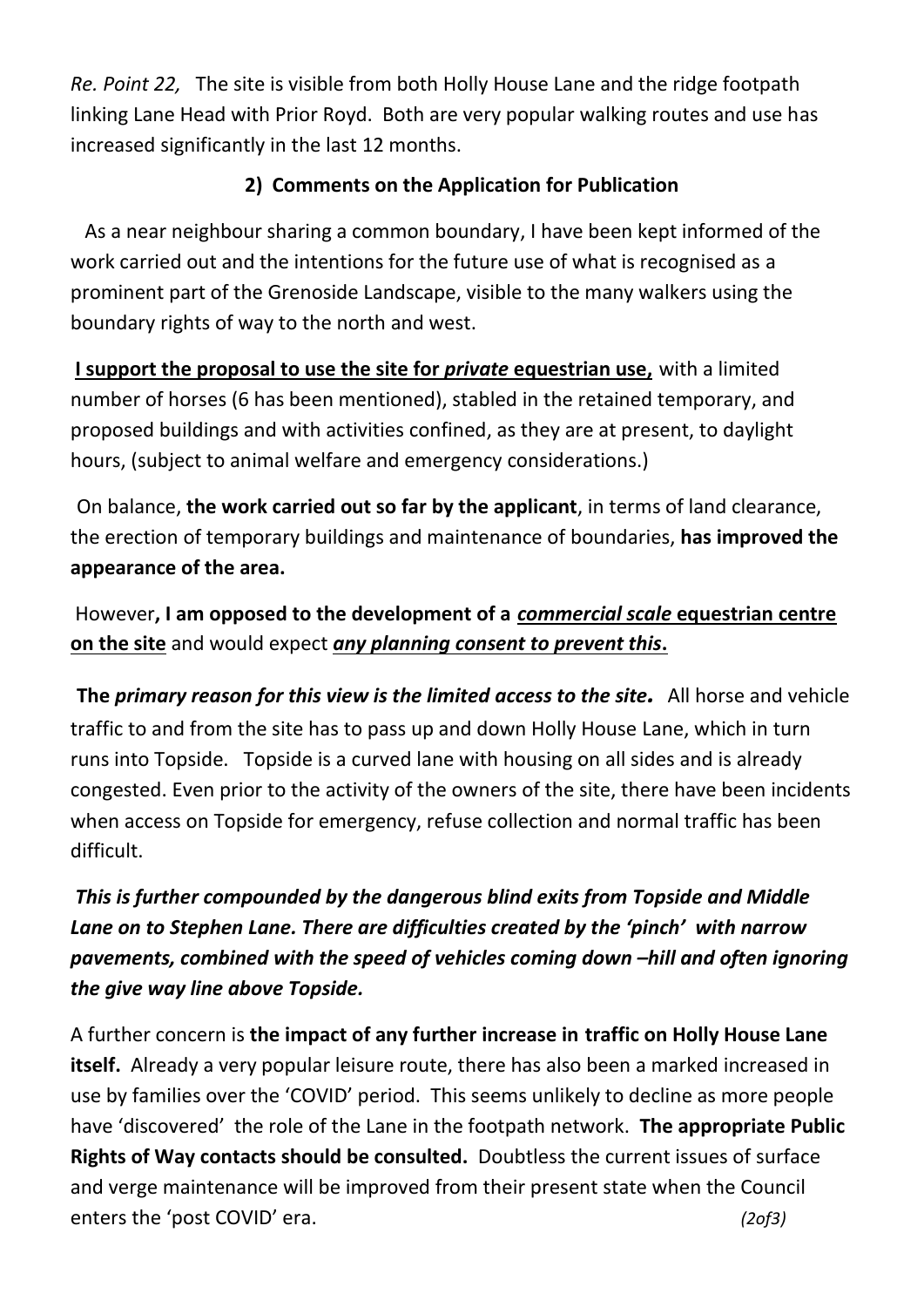*Re. Point 22,* The site is visible from both Holly House Lane and the ridge footpath linking Lane Head with Prior Royd. Both are very popular walking routes and use has increased significantly in the last 12 months.

## **2) Comments on the Application for Publication**

 As a near neighbour sharing a common boundary, I have been kept informed of the work carried out and the intentions for the future use of what is recognised as a prominent part of the Grenoside Landscape, visible to the many walkers using the boundary rights of way to the north and west.

**I support the proposal to use the site for** *private* **equestrian use,** with a limited number of horses (6 has been mentioned), stabled in the retained temporary, and proposed buildings and with activities confined, as they are at present, to daylight hours, (subject to animal welfare and emergency considerations.)

On balance, **the work carried out so far by the applicant**, in terms of land clearance, the erection of temporary buildings and maintenance of boundaries, **has improved the appearance of the area.**

However**, I am opposed to the development of a** *commercial scale* **equestrian centre on the site** and would expect *any planning consent to prevent this***.** 

**The** *primary reason for this view is the limited access to the site.*All horse and vehicle traffic to and from the site has to pass up and down Holly House Lane, which in turn runs into Topside.Topside is a curved lane with housing on all sides and is already congested. Even prior to the activity of the owners of the site, there have been incidents when access on Topside for emergency, refuse collection and normal traffic has been difficult.

*This is further compounded by the dangerous blind exits from Topside and Middle Lane on to Stephen Lane. There are difficulties created by the 'pinch' with narrow pavements, combined with the speed of vehicles coming down –hill and often ignoring the give way line above Topside.*

A further concern is **the impact of any further increase in traffic on Holly House Lane itself.** Already a very popular leisure route, there has also been a marked increased in use by families over the 'COVID' period. This seems unlikely to decline as more people have 'discovered' the role of the Lane in the footpath network. **The appropriate Public Rights of Way contacts should be consulted.** Doubtless the current issues of surface and verge maintenance will be improved from their present state when the Council enters the 'post COVID' era. *(2of3)* (2of3)